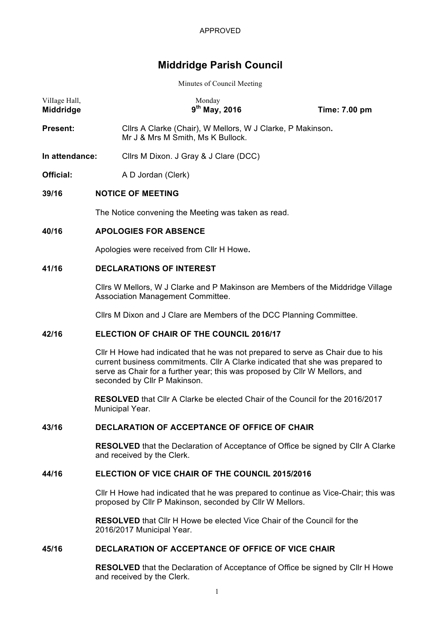# **Middridge Parish Council**

Minutes of Council Meeting

| Village Hall,<br>Middridge |                                           | Monday<br>$9^{th}$ May, 2016                                                                                         | Time: 7.00 pm |  |  |
|----------------------------|-------------------------------------------|----------------------------------------------------------------------------------------------------------------------|---------------|--|--|
| <b>Present:</b>            |                                           | Cllrs A Clarke (Chair), W Mellors, W J Clarke, P Makinson.<br>Mr J & Mrs M Smith, Ms K Bullock.                      |               |  |  |
| In attendance:             |                                           | Cllrs M Dixon. J Gray & J Clare (DCC)                                                                                |               |  |  |
| Official:                  |                                           | A D Jordan (Clerk)                                                                                                   |               |  |  |
| 39/16                      |                                           | <b>NOTICE OF MEETING</b>                                                                                             |               |  |  |
|                            |                                           | The Notice convening the Meeting was taken as read.                                                                  |               |  |  |
| 40/16                      |                                           | <b>APOLOGIES FOR ABSENCE</b>                                                                                         |               |  |  |
|                            | Apologies were received from Cllr H Howe. |                                                                                                                      |               |  |  |
| 41/16                      | <b>DECLARATIONS OF INTEREST</b>           |                                                                                                                      |               |  |  |
|                            |                                           | Cllrs W Mellors, W J Clarke and P Makinson are Members of the Middridge Village<br>Association Management Committee. |               |  |  |
|                            |                                           | Cllrs M Dixon and J Clare are Members of the DCC Planning Committee.                                                 |               |  |  |

### **42/16 ELECTION OF CHAIR OF THE COUNCIL 2016/17**

Cllr H Howe had indicated that he was not prepared to serve as Chair due to his current business commitments. Cllr A Clarke indicated that she was prepared to serve as Chair for a further year; this was proposed by Cllr W Mellors, and seconded by Cllr P Makinson.

**RESOLVED** that Cllr A Clarke be elected Chair of the Council for the 2016/2017 Municipal Year.

#### **43/16 DECLARATION OF ACCEPTANCE OF OFFICE OF CHAIR**

**RESOLVED** that the Declaration of Acceptance of Office be signed by Cllr A Clarke and received by the Clerk.

## **44/16 ELECTION OF VICE CHAIR OF THE COUNCIL 2015/2016**

Cllr H Howe had indicated that he was prepared to continue as Vice-Chair; this was proposed by Cllr P Makinson, seconded by Cllr W Mellors.

**RESOLVED** that Cllr H Howe be elected Vice Chair of the Council for the 2016/2017 Municipal Year.

#### **45/16 DECLARATION OF ACCEPTANCE OF OFFICE OF VICE CHAIR**

**RESOLVED** that the Declaration of Acceptance of Office be signed by Cllr H Howe and received by the Clerk.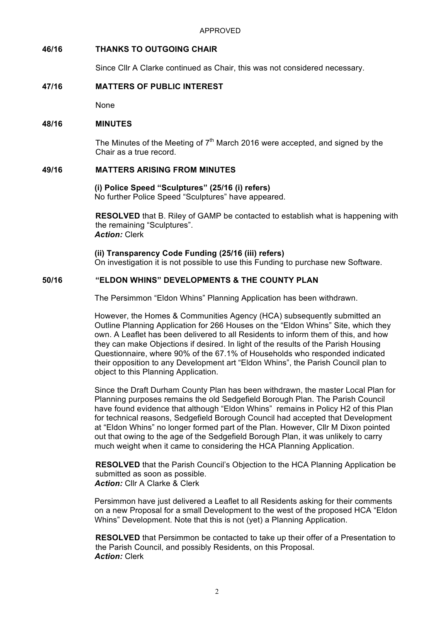# **46/16 THANKS TO OUTGOING CHAIR**

Since Cllr A Clarke continued as Chair, this was not considered necessary.

# **47/16 MATTERS OF PUBLIC INTEREST**

None

## **48/16 MINUTES**

The Minutes of the Meeting of  $7<sup>th</sup>$  March 2016 were accepted, and signed by the Chair as a true record.

# **49/16 MATTERS ARISING FROM MINUTES**

**(i) Police Speed "Sculptures" (25/16 (i) refers)** No further Police Speed "Sculptures" have appeared.

**RESOLVED** that B. Riley of GAMP be contacted to establish what is happening with the remaining "Sculptures". *Action:* Clerk

**(ii) Transparency Code Funding (25/16 (iii) refers)**

On investigation it is not possible to use this Funding to purchase new Software.

# **50/16 "ELDON WHINS" DEVELOPMENTS & THE COUNTY PLAN**

The Persimmon "Eldon Whins" Planning Application has been withdrawn.

However, the Homes & Communities Agency (HCA) subsequently submitted an Outline Planning Application for 266 Houses on the "Eldon Whins" Site, which they own. A Leaflet has been delivered to all Residents to inform them of this, and how they can make Objections if desired. In light of the results of the Parish Housing Questionnaire, where 90% of the 67.1% of Households who responded indicated their opposition to any Development art "Eldon Whins", the Parish Council plan to object to this Planning Application.

Since the Draft Durham County Plan has been withdrawn, the master Local Plan for Planning purposes remains the old Sedgefield Borough Plan. The Parish Council have found evidence that although "Eldon Whins" remains in Policy H2 of this Plan for technical reasons, Sedgefield Borough Council had accepted that Development at "Eldon Whins" no longer formed part of the Plan. However, Cllr M Dixon pointed out that owing to the age of the Sedgefield Borough Plan, it was unlikely to carry much weight when it came to considering the HCA Planning Application.

**RESOLVED** that the Parish Council's Objection to the HCA Planning Application be submitted as soon as possible. *Action:* Cllr A Clarke & Clerk

Persimmon have just delivered a Leaflet to all Residents asking for their comments on a new Proposal for a small Development to the west of the proposed HCA "Eldon Whins" Development. Note that this is not (yet) a Planning Application.

**RESOLVED** that Persimmon be contacted to take up their offer of a Presentation to the Parish Council, and possibly Residents, on this Proposal. *Action:* Clerk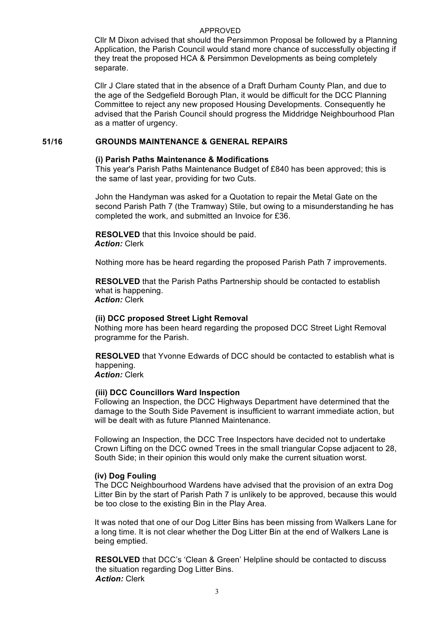#### APPROVED

Cllr M Dixon advised that should the Persimmon Proposal be followed by a Planning Application, the Parish Council would stand more chance of successfully objecting if they treat the proposed HCA & Persimmon Developments as being completely separate.

Cllr J Clare stated that in the absence of a Draft Durham County Plan, and due to the age of the Sedgefield Borough Plan, it would be difficult for the DCC Planning Committee to reject any new proposed Housing Developments. Consequently he advised that the Parish Council should progress the Middridge Neighbourhood Plan as a matter of urgency.

# **51/16 GROUNDS MAINTENANCE & GENERAL REPAIRS**

### **(i) Parish Paths Maintenance & Modifications**

This year's Parish Paths Maintenance Budget of £840 has been approved; this is the same of last year, providing for two Cuts.

John the Handyman was asked for a Quotation to repair the Metal Gate on the second Parish Path 7 (the Tramway) Stile, but owing to a misunderstanding he has completed the work, and submitted an Invoice for £36.

**RESOLVED** that this Invoice should be paid. *Action:* Clerk

Nothing more has be heard regarding the proposed Parish Path 7 improvements.

**RESOLVED** that the Parish Paths Partnership should be contacted to establish what is happening. *Action:* Clerk

### **(ii) DCC proposed Street Light Removal**

Nothing more has been heard regarding the proposed DCC Street Light Removal programme for the Parish.

**RESOLVED** that Yvonne Edwards of DCC should be contacted to establish what is happening.

*Action:* Clerk

## **(iii) DCC Councillors Ward Inspection**

Following an Inspection, the DCC Highways Department have determined that the damage to the South Side Pavement is insufficient to warrant immediate action, but will be dealt with as future Planned Maintenance.

Following an Inspection, the DCC Tree Inspectors have decided not to undertake Crown Lifting on the DCC owned Trees in the small triangular Copse adjacent to 28, South Side; in their opinion this would only make the current situation worst.

### **(iv) Dog Fouling**

The DCC Neighbourhood Wardens have advised that the provision of an extra Dog Litter Bin by the start of Parish Path 7 is unlikely to be approved, because this would be too close to the existing Bin in the Play Area.

It was noted that one of our Dog Litter Bins has been missing from Walkers Lane for a long time. It is not clear whether the Dog Litter Bin at the end of Walkers Lane is being emptied.

**RESOLVED** that DCC's 'Clean & Green' Helpline should be contacted to discuss the situation regarding Dog Litter Bins. *Action:* Clerk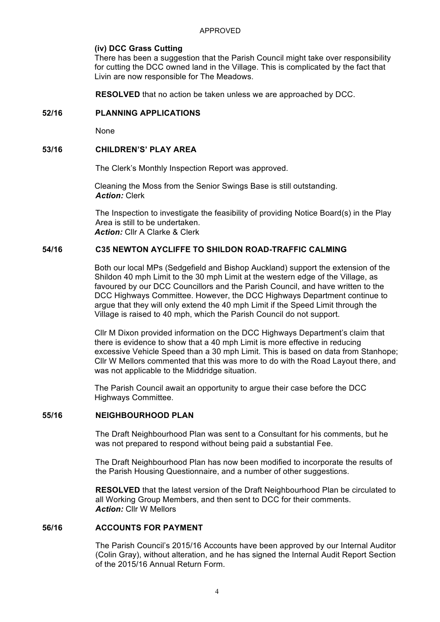#### **(iv) DCC Grass Cutting**

There has been a suggestion that the Parish Council might take over responsibility for cutting the DCC owned land in the Village. This is complicated by the fact that Livin are now responsible for The Meadows.

**RESOLVED** that no action be taken unless we are approached by DCC.

### **52/16 PLANNING APPLICATIONS**

None

### **53/16 CHILDREN'S' PLAY AREA**

The Clerk's Monthly Inspection Report was approved.

Cleaning the Moss from the Senior Swings Base is still outstanding. *Action:* Clerk

The Inspection to investigate the feasibility of providing Notice Board(s) in the Play Area is still to be undertaken. *Action:* Cllr A Clarke & Clerk

# **54/16 C35 NEWTON AYCLIFFE TO SHILDON ROAD-TRAFFIC CALMING**

Both our local MPs (Sedgefield and Bishop Auckland) support the extension of the Shildon 40 mph Limit to the 30 mph Limit at the western edge of the Village, as favoured by our DCC Councillors and the Parish Council, and have written to the DCC Highways Committee. However, the DCC Highways Department continue to argue that they will only extend the 40 mph Limit if the Speed Limit through the Village is raised to 40 mph, which the Parish Council do not support.

Cllr M Dixon provided information on the DCC Highways Department's claim that there is evidence to show that a 40 mph Limit is more effective in reducing excessive Vehicle Speed than a 30 mph Limit. This is based on data from Stanhope; Cllr W Mellors commented that this was more to do with the Road Layout there, and was not applicable to the Middridge situation.

The Parish Council await an opportunity to argue their case before the DCC Highways Committee.

### **55/16 NEIGHBOURHOOD PLAN**

The Draft Neighbourhood Plan was sent to a Consultant for his comments, but he was not prepared to respond without being paid a substantial Fee.

The Draft Neighbourhood Plan has now been modified to incorporate the results of the Parish Housing Questionnaire, and a number of other suggestions.

**RESOLVED** that the latest version of the Draft Neighbourhood Plan be circulated to all Working Group Members, and then sent to DCC for their comments. *Action:* Cllr W Mellors

### **56/16 ACCOUNTS FOR PAYMENT**

The Parish Council's 2015/16 Accounts have been approved by our Internal Auditor (Colin Gray), without alteration, and he has signed the Internal Audit Report Section of the 2015/16 Annual Return Form.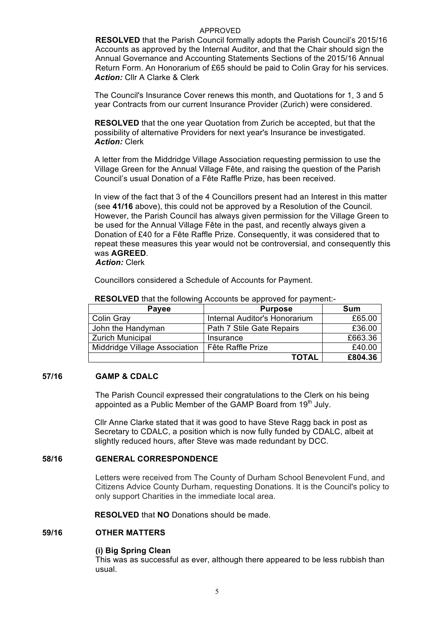### APPROVED

**RESOLVED** that the Parish Council formally adopts the Parish Council's 2015/16 Accounts as approved by the Internal Auditor, and that the Chair should sign the Annual Governance and Accounting Statements Sections of the 2015/16 Annual Return Form. An Honorarium of £65 should be paid to Colin Gray for his services. *Action:* Cllr A Clarke & Clerk

The Council's Insurance Cover renews this month, and Quotations for 1, 3 and 5 year Contracts from our current Insurance Provider (Zurich) were considered.

**RESOLVED** that the one year Quotation from Zurich be accepted, but that the possibility of alternative Providers for next year's Insurance be investigated. *Action:* Clerk

A letter from the Middridge Village Association requesting permission to use the Village Green for the Annual Village Fête, and raising the question of the Parish Council's usual Donation of a Fête Raffle Prize, has been received.

In view of the fact that 3 of the 4 Councillors present had an Interest in this matter (see **41/16** above), this could not be approved by a Resolution of the Council. However, the Parish Council has always given permission for the Village Green to be used for the Annual Village Fête in the past, and recently always given a Donation of £40 for a Fête Raffle Prize. Consequently, it was considered that to repeat these measures this year would not be controversial, and consequently this was **AGREED**.

## *Action:* Clerk

Councillors considered a Schedule of Accounts for Payment.

| <b>Payee</b>                  | <b>Purpose</b>                | Sum     |
|-------------------------------|-------------------------------|---------|
| Colin Gray                    | Internal Auditor's Honorarium | £65.00  |
| John the Handyman             | Path 7 Stile Gate Repairs     | £36.00  |
| <b>Zurich Municipal</b>       | Insurance                     | £663.36 |
| Middridge Village Association | Fête Raffle Prize             | £40.00  |
|                               | <b>TOTAL</b>                  | £804.36 |

#### **RESOLVED** that the following Accounts be approved for payment:-

# **57/16 GAMP & CDALC**

The Parish Council expressed their congratulations to the Clerk on his being appointed as a Public Member of the GAMP Board from 19<sup>th</sup> July.

Cllr Anne Clarke stated that it was good to have Steve Ragg back in post as Secretary to CDALC, a position which is now fully funded by CDALC, albeit at slightly reduced hours, after Steve was made redundant by DCC.

#### **58/16 GENERAL CORRESPONDENCE**

Letters were received from The County of Durham School Benevolent Fund, and Citizens Advice County Durham, requesting Donations. It is the Council's policy to only support Charities in the immediate local area.

**RESOLVED** that **NO** Donations should be made.

#### **59/16 OTHER MATTERS**

### **(i) Big Spring Clean**

This was as successful as ever, although there appeared to be less rubbish than usual.